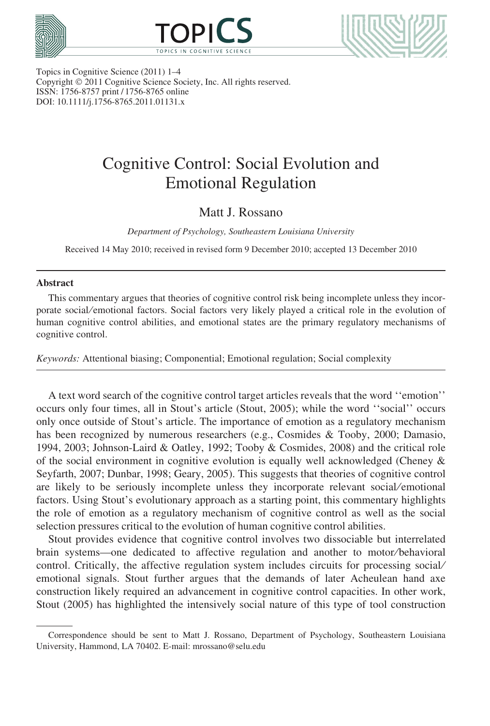





Topics in Cognitive Science (2011) 1–4 Copyright © 2011 Cognitive Science Society, Inc. All rights reserved. ISSN: 1756-8757 print / 1756-8765 online DOI: 10.1111/j.1756-8765.2011.01131.x

# Cognitive Control: Social Evolution and Emotional Regulation

## Matt J. Rossano

Department of Psychology, Southeastern Louisiana University

Received 14 May 2010; received in revised form 9 December 2010; accepted 13 December 2010

### Abstract

This commentary argues that theories of cognitive control risk being incomplete unless they incorporate social ⁄ emotional factors. Social factors very likely played a critical role in the evolution of human cognitive control abilities, and emotional states are the primary regulatory mechanisms of cognitive control.

Keywords: Attentional biasing; Componential; Emotional regulation; Social complexity

A text word search of the cognitive control target articles reveals that the word ''emotion'' occurs only four times, all in Stout's article (Stout, 2005); while the word ''social'' occurs only once outside of Stout's article. The importance of emotion as a regulatory mechanism has been recognized by numerous researchers (e.g., Cosmides & Tooby, 2000; Damasio, 1994, 2003; Johnson-Laird & Oatley, 1992; Tooby & Cosmides, 2008) and the critical role of the social environment in cognitive evolution is equally well acknowledged (Cheney  $\&$ Seyfarth, 2007; Dunbar, 1998; Geary, 2005). This suggests that theories of cognitive control are likely to be seriously incomplete unless they incorporate relevant social⁄ emotional factors. Using Stout's evolutionary approach as a starting point, this commentary highlights the role of emotion as a regulatory mechanism of cognitive control as well as the social selection pressures critical to the evolution of human cognitive control abilities.

Stout provides evidence that cognitive control involves two dissociable but interrelated brain systems—one dedicated to affective regulation and another to motor⁄ behavioral control. Critically, the affective regulation system includes circuits for processing social⁄ emotional signals. Stout further argues that the demands of later Acheulean hand axe construction likely required an advancement in cognitive control capacities. In other work, Stout (2005) has highlighted the intensively social nature of this type of tool construction

Correspondence should be sent to Matt J. Rossano, Department of Psychology, Southeastern Louisiana University, Hammond, LA 70402. E-mail: mrossano@selu.edu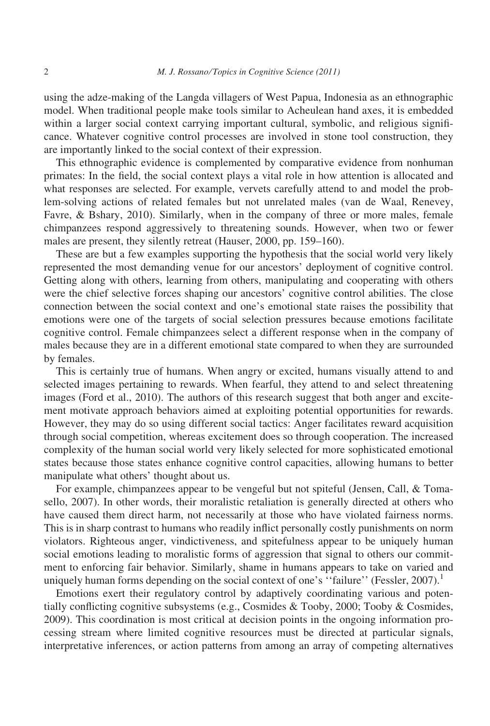using the adze-making of the Langda villagers of West Papua, Indonesia as an ethnographic model. When traditional people make tools similar to Acheulean hand axes, it is embedded within a larger social context carrying important cultural, symbolic, and religious significance. Whatever cognitive control processes are involved in stone tool construction, they are importantly linked to the social context of their expression.

This ethnographic evidence is complemented by comparative evidence from nonhuman primates: In the field, the social context plays a vital role in how attention is allocated and what responses are selected. For example, vervets carefully attend to and model the problem-solving actions of related females but not unrelated males (van de Waal, Renevey, Favre, & Bshary, 2010). Similarly, when in the company of three or more males, female chimpanzees respond aggressively to threatening sounds. However, when two or fewer males are present, they silently retreat (Hauser, 2000, pp. 159–160).

These are but a few examples supporting the hypothesis that the social world very likely represented the most demanding venue for our ancestors' deployment of cognitive control. Getting along with others, learning from others, manipulating and cooperating with others were the chief selective forces shaping our ancestors' cognitive control abilities. The close connection between the social context and one's emotional state raises the possibility that emotions were one of the targets of social selection pressures because emotions facilitate cognitive control. Female chimpanzees select a different response when in the company of males because they are in a different emotional state compared to when they are surrounded by females.

This is certainly true of humans. When angry or excited, humans visually attend to and selected images pertaining to rewards. When fearful, they attend to and select threatening images (Ford et al., 2010). The authors of this research suggest that both anger and excitement motivate approach behaviors aimed at exploiting potential opportunities for rewards. However, they may do so using different social tactics: Anger facilitates reward acquisition through social competition, whereas excitement does so through cooperation. The increased complexity of the human social world very likely selected for more sophisticated emotional states because those states enhance cognitive control capacities, allowing humans to better manipulate what others' thought about us.

For example, chimpanzees appear to be vengeful but not spiteful (Jensen, Call, & Tomasello, 2007). In other words, their moralistic retaliation is generally directed at others who have caused them direct harm, not necessarily at those who have violated fairness norms. This is in sharp contrast to humans who readily inflict personally costly punishments on norm violators. Righteous anger, vindictiveness, and spitefulness appear to be uniquely human social emotions leading to moralistic forms of aggression that signal to others our commitment to enforcing fair behavior. Similarly, shame in humans appears to take on varied and uniquely human forms depending on the social context of one's "failure" (Fessler, 2007).<sup>1</sup>

Emotions exert their regulatory control by adaptively coordinating various and potentially conflicting cognitive subsystems (e.g., Cosmides & Tooby, 2000; Tooby & Cosmides, 2009). This coordination is most critical at decision points in the ongoing information processing stream where limited cognitive resources must be directed at particular signals, interpretative inferences, or action patterns from among an array of competing alternatives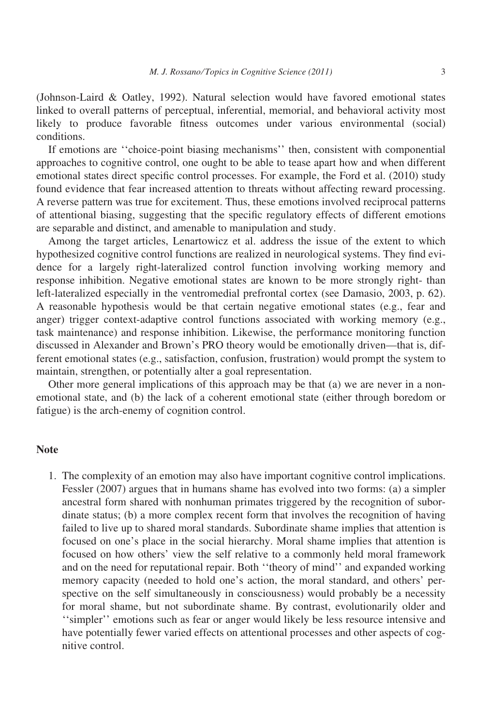(Johnson-Laird & Oatley, 1992). Natural selection would have favored emotional states linked to overall patterns of perceptual, inferential, memorial, and behavioral activity most likely to produce favorable fitness outcomes under various environmental (social) conditions.

If emotions are ''choice-point biasing mechanisms'' then, consistent with componential approaches to cognitive control, one ought to be able to tease apart how and when different emotional states direct specific control processes. For example, the Ford et al. (2010) study found evidence that fear increased attention to threats without affecting reward processing. A reverse pattern was true for excitement. Thus, these emotions involved reciprocal patterns of attentional biasing, suggesting that the specific regulatory effects of different emotions are separable and distinct, and amenable to manipulation and study.

Among the target articles, Lenartowicz et al. address the issue of the extent to which hypothesized cognitive control functions are realized in neurological systems. They find evidence for a largely right-lateralized control function involving working memory and response inhibition. Negative emotional states are known to be more strongly right- than left-lateralized especially in the ventromedial prefrontal cortex (see Damasio, 2003, p. 62). A reasonable hypothesis would be that certain negative emotional states (e.g., fear and anger) trigger context-adaptive control functions associated with working memory (e.g., task maintenance) and response inhibition. Likewise, the performance monitoring function discussed in Alexander and Brown's PRO theory would be emotionally driven—that is, different emotional states (e.g., satisfaction, confusion, frustration) would prompt the system to maintain, strengthen, or potentially alter a goal representation.

Other more general implications of this approach may be that (a) we are never in a nonemotional state, and (b) the lack of a coherent emotional state (either through boredom or fatigue) is the arch-enemy of cognition control.

#### Note

1. The complexity of an emotion may also have important cognitive control implications. Fessler (2007) argues that in humans shame has evolved into two forms: (a) a simpler ancestral form shared with nonhuman primates triggered by the recognition of subordinate status; (b) a more complex recent form that involves the recognition of having failed to live up to shared moral standards. Subordinate shame implies that attention is focused on one's place in the social hierarchy. Moral shame implies that attention is focused on how others' view the self relative to a commonly held moral framework and on the need for reputational repair. Both ''theory of mind'' and expanded working memory capacity (needed to hold one's action, the moral standard, and others' perspective on the self simultaneously in consciousness) would probably be a necessity for moral shame, but not subordinate shame. By contrast, evolutionarily older and ''simpler'' emotions such as fear or anger would likely be less resource intensive and have potentially fewer varied effects on attentional processes and other aspects of cognitive control.